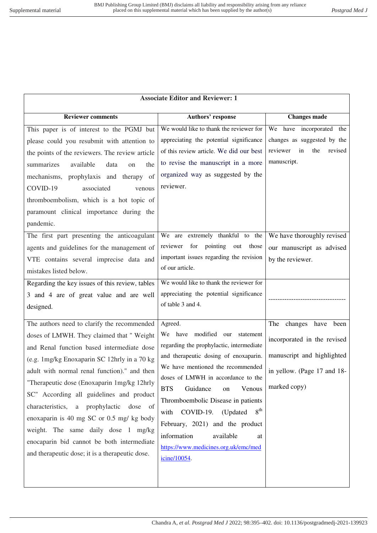| <b>Associate Editor and Reviewer: 1</b>                                                                                                                                                                                                                                                                                                                                                                                                                                                                                                                              |                                                                                                                                                                                                                                                                                                                                                                                                                                                                         |                                                                                                                                      |  |
|----------------------------------------------------------------------------------------------------------------------------------------------------------------------------------------------------------------------------------------------------------------------------------------------------------------------------------------------------------------------------------------------------------------------------------------------------------------------------------------------------------------------------------------------------------------------|-------------------------------------------------------------------------------------------------------------------------------------------------------------------------------------------------------------------------------------------------------------------------------------------------------------------------------------------------------------------------------------------------------------------------------------------------------------------------|--------------------------------------------------------------------------------------------------------------------------------------|--|
| <b>Reviewer comments</b>                                                                                                                                                                                                                                                                                                                                                                                                                                                                                                                                             | Authors' response                                                                                                                                                                                                                                                                                                                                                                                                                                                       | <b>Changes made</b>                                                                                                                  |  |
| This paper is of interest to the PGMJ but<br>please could you resubmit with attention to<br>the points of the reviewers. The review article<br>summarizes<br>available<br>data<br>the<br>$_{\rm on}$<br>mechanisms, prophylaxis and therapy<br>of<br>COVID-19<br>associated<br>venous<br>thromboembolism, which is a hot topic of<br>paramount clinical importance during the<br>pandemic.                                                                                                                                                                           | We would like to thank the reviewer for<br>appreciating the potential significance<br>of this review article. We did our best<br>to revise the manuscript in a more<br>organized way as suggested by the<br>reviewer.                                                                                                                                                                                                                                                   | We have incorporated the<br>changes as suggested by the<br>reviewer<br>in<br>the<br>revised<br>manuscript.                           |  |
| The first part presenting the anticoagulant<br>agents and guidelines for the management of<br>VTE contains several imprecise data and<br>mistakes listed below.                                                                                                                                                                                                                                                                                                                                                                                                      | We are extremely thankful to the<br>reviewer<br>for<br>pointing<br>out<br>those<br>important issues regarding the revision<br>of our article.                                                                                                                                                                                                                                                                                                                           | We have thoroughly revised<br>our manuscript as advised<br>by the reviewer.                                                          |  |
| Regarding the key issues of this review, tables<br>3 and 4 are of great value and are well<br>designed.                                                                                                                                                                                                                                                                                                                                                                                                                                                              | We would like to thank the reviewer for<br>appreciating the potential significance<br>of table 3 and 4.                                                                                                                                                                                                                                                                                                                                                                 |                                                                                                                                      |  |
| The authors need to clarify the recommended<br>doses of LMWH. They claimed that " Weight<br>and Renal function based intermediate dose<br>(e.g. 1mg/kg Enoxaparin SC 12hrly in a 70 kg<br>adult with normal renal function)." and then<br>"Therapeutic dose (Enoxaparin 1mg/kg 12hrly<br>SC" According all guidelines and product<br>characteristics, a prophylactic<br>dose of<br>enoxaparin is 40 mg SC or 0.5 mg/ kg body<br>weight. The same daily dose 1 mg/kg<br>enocaparin bid cannot be both intermediate<br>and therapeutic dose; it is a therapeutic dose. | Agreed.<br>We have modified our<br>statement<br>regarding the prophylactic, intermediate<br>and therapeutic dosing of enoxaparin.<br>We have mentioned the recommended<br>doses of LMWH in accordance to the<br>Guidance<br><b>BTS</b><br>Venous<br>on<br>Thromboembolic Disease in patients<br>8 <sup>th</sup><br>with COVID-19. (Updated<br>February, 2021) and the product<br>information<br>available<br>at<br>https://www.medicines.org.uk/emc/med<br>icine/10054. | The changes have<br>been<br>incorporated in the revised<br>manuscript and highlighted<br>in yellow. (Page 17 and 18-<br>marked copy) |  |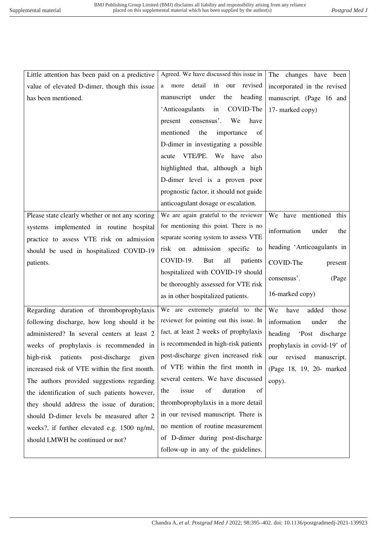| Little attention has been paid on a predictive   | Agreed. We have discussed this issue in     | The changes have been         |
|--------------------------------------------------|---------------------------------------------|-------------------------------|
| value of elevated D-dimer, though this issue     | detail<br>in<br>revised<br>our<br>more<br>a | incorporated in the revised   |
| has been mentioned.                              | under<br>heading<br>manuscript<br>the       | manuscript. (Page 16 and      |
|                                                  | 'Anticoagulants<br>in<br>COVID-The          | 17- marked copy)              |
|                                                  | consensus'.<br>We<br>present<br>have        |                               |
|                                                  | mentioned<br>the<br>importance<br>of        |                               |
|                                                  | D-dimer in investigating a possible         |                               |
|                                                  | VTE/PE. We have also<br>acute               |                               |
|                                                  | highlighted that, although a high           |                               |
|                                                  | D-dimer level is a proven poor              |                               |
|                                                  | prognostic factor, it should not guide      |                               |
|                                                  | anticoagulant dosage or escalation.         |                               |
| Please state clearly whether or not any scoring  | We are again grateful to the reviewer       | We have mentioned<br>this     |
| systems implemented in routine hospital          | for mentioning this point. There is no      | information<br>under<br>the   |
| practice to assess VTE risk on admission         | separate scoring system to assess VTE       |                               |
| should be used in hospitalized COVID-19          | risk on admission specific<br>to            | heading 'Anticoagulants in    |
| patients.                                        | COVID-19.<br>But<br>all<br>patients         | COVID-The<br>present          |
|                                                  | hospitalized with COVID-19 should           | consensus'.<br>(Page          |
|                                                  | be thoroughly assessed for VTE risk         |                               |
|                                                  | as in other hospitalized patients.          | 16-marked copy)               |
| Regarding duration of thromboprophylaxis         | We are extremely grateful to the            | We<br>have<br>added<br>those  |
| following discharge, how long should it be       | reviewer for pointing out this issue. In    | information<br>under<br>the   |
| administered? In several centers at least 2      | fact, at least 2 weeks of prophylaxis       | 'Post discharge<br>heading    |
| weeks of prophylaxis is recommended in           | is recommended in high-risk patients        | prophylaxis in covid-19' of   |
| high-risk<br>patients<br>post-discharge<br>given | post-discharge given increased risk         | revised<br>manuscript.<br>our |
| increased risk of VTE within the first month.    | of VTE within the first month in            | (Page 18, 19, 20- marked)     |
| The authors provided suggestions regarding       | several centers. We have discussed          | copy).                        |
| the identification of such patients however,     | issue<br>of<br>duration<br>the<br>of        |                               |
| they should address the issue of duration;       | thromboprophylaxis in a more detail         |                               |
| should D-dimer levels be measured after 2        | in our revised manuscript. There is         |                               |
| weeks?, if further elevated e.g. 1500 ng/ml,     | no mention of routine measurement           |                               |
| should LMWH be continued or not?                 | of D-dimer during post-discharge            |                               |
|                                                  | follow-up in any of the guidelines.         |                               |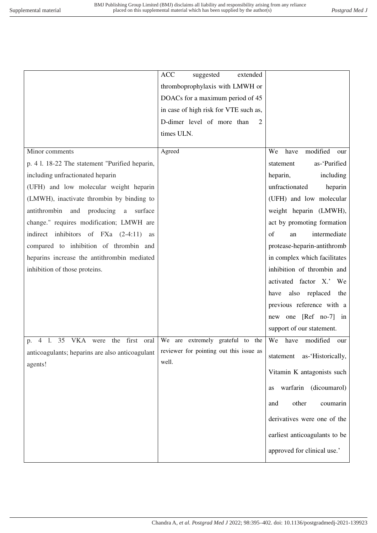|                                                                                                      | <b>ACC</b><br>suggested<br>extended   |                                |
|------------------------------------------------------------------------------------------------------|---------------------------------------|--------------------------------|
|                                                                                                      | thromboprophylaxis with LMWH or       |                                |
|                                                                                                      | DOACs for a maximum period of 45      |                                |
|                                                                                                      | in case of high risk for VTE such as, |                                |
|                                                                                                      | D-dimer level of more than<br>2       |                                |
|                                                                                                      | times ULN.                            |                                |
|                                                                                                      |                                       |                                |
| Minor comments                                                                                       | Agreed                                | modified<br>We<br>have<br>our  |
| p. 4 1. 18-22 The statement "Purified heparin,                                                       |                                       | as-'Purified<br>statement      |
| including unfractionated heparin                                                                     |                                       | heparin,<br>including          |
| (UFH) and low molecular weight heparin                                                               |                                       | unfractionated<br>heparin      |
| (LMWH), inactivate thrombin by binding to                                                            |                                       | (UFH) and low molecular        |
| antithrombin<br>producing<br>and<br>a<br>surface                                                     |                                       | weight heparin (LMWH),         |
| change." requires modification; LMWH are                                                             |                                       | act by promoting formation     |
| indirect inhibitors of FXa (2-4:11)<br>as                                                            |                                       | intermediate<br>of<br>an       |
| compared to inhibition of thrombin and                                                               |                                       | protease-heparin-antithromb    |
| heparins increase the antithrombin mediated                                                          |                                       | in complex which facilitates   |
| inhibition of those proteins.                                                                        |                                       | inhibition of thrombin and     |
|                                                                                                      |                                       | activated factor X.' We        |
|                                                                                                      |                                       | also replaced the<br>have      |
|                                                                                                      |                                       | previous reference with a      |
|                                                                                                      |                                       | new one [Ref no-7] in          |
|                                                                                                      |                                       | support of our statement.      |
| VKA were the first oral<br>35<br>$\overline{4}$<br>$\mathbf{l}$ .<br>p.                              | We are extremely grateful to the      | We<br>modified<br>have<br>our  |
| anticoagulants; heparins are also anticoagulant   reviewer for pointing out this issue as<br>agents! | well.                                 | statement<br>as-'Historically, |
|                                                                                                      |                                       | Vitamin K antagonists such     |
|                                                                                                      |                                       | warfarin<br>(dicoumarol)<br>as |
|                                                                                                      |                                       | other<br>and<br>coumarin       |
|                                                                                                      |                                       | derivatives were one of the    |
|                                                                                                      |                                       | earliest anticoagulants to be  |
|                                                                                                      |                                       | approved for clinical use.'    |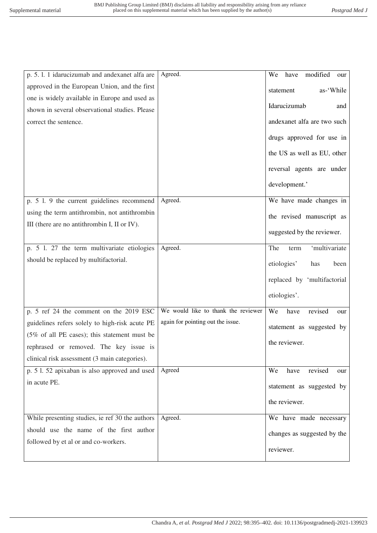| p. 5. l. 1 idarucizumab and andexanet alfa are           | Agreed.                             | have<br>modified<br>We<br>our |
|----------------------------------------------------------|-------------------------------------|-------------------------------|
| approved in the European Union, and the first            |                                     | as-'While<br>statement        |
| one is widely available in Europe and used as            |                                     |                               |
| shown in several observational studies. Please           |                                     | Idarucizumab<br>and           |
| correct the sentence.                                    |                                     | andexanet alfa are two such   |
|                                                          |                                     | drugs approved for use in     |
|                                                          |                                     | the US as well as EU, other   |
|                                                          |                                     | reversal agents are under     |
|                                                          |                                     | development.'                 |
| p. 5 l. 9 the current guidelines recommend               | Agreed.                             | We have made changes in       |
| using the term antithrombin, not antithrombin            |                                     | the revised manuscript as     |
| III (there are no antithrombin I, II or IV).             |                                     | suggested by the reviewer.    |
| p. 5 l. 27 the term multivariate etiologies              | Agreed.                             | 'multivariate<br>The<br>term  |
| should be replaced by multifactorial.                    |                                     | etiologies'<br>has<br>been    |
|                                                          |                                     | replaced by 'multifactorial   |
|                                                          |                                     | etiologies'.                  |
| p. 5 ref 24 the comment on the 2019 ESC                  | We would like to thank the reviewer | We<br>revised<br>have<br>our  |
| guidelines refers solely to high-risk acute PE           | again for pointing out the issue.   | statement as suggested by     |
| $(5\% \text{ of all PE cases})$ ; this statement must be |                                     | the reviewer.                 |
| rephrased or removed. The key issue is                   |                                     |                               |
| clinical risk assessment (3 main categories).            |                                     |                               |
| p. 5 l. 52 apixaban is also approved and used            | Agreed                              | revised<br>We<br>have<br>our  |
| in acute PE.                                             |                                     | statement as suggested by     |
|                                                          |                                     | the reviewer.                 |
| While presenting studies, ie ref 30 the authors          | Agreed.                             | We have made necessary        |
| should use the name of the first author                  |                                     | changes as suggested by the   |
| followed by et al or and co-workers.                     |                                     | reviewer.                     |
|                                                          |                                     |                               |